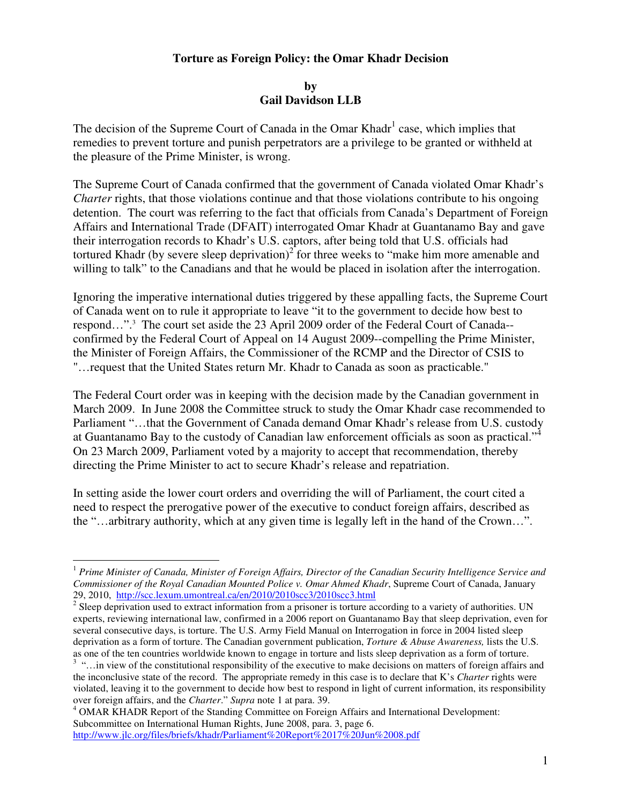## **Torture as Foreign Policy: the Omar Khadr Decision**

## **by Gail Davidson LLB**

The decision of the Supreme Court of Canada in the Omar Khadr<sup>1</sup> case, which implies that remedies to prevent torture and punish perpetrators are a privilege to be granted or withheld at the pleasure of the Prime Minister, is wrong.

The Supreme Court of Canada confirmed that the government of Canada violated Omar Khadr's *Charter* rights, that those violations continue and that those violations contribute to his ongoing detention. The court was referring to the fact that officials from Canada's Department of Foreign Affairs and International Trade (DFAIT) interrogated Omar Khadr at Guantanamo Bay and gave their interrogation records to Khadr's U.S. captors, after being told that U.S. officials had tortured Khadr (by severe sleep deprivation) $2^{2}$  for three weeks to "make him more amenable and willing to talk" to the Canadians and that he would be placed in isolation after the interrogation.

Ignoring the imperative international duties triggered by these appalling facts, the Supreme Court of Canada went on to rule it appropriate to leave "it to the government to decide how best to respond...".<sup>3</sup> The court set aside the 23 April 2009 order of the Federal Court of Canada-confirmed by the Federal Court of Appeal on 14 August 2009--compelling the Prime Minister, the Minister of Foreign Affairs, the Commissioner of the RCMP and the Director of CSIS to "…request that the United States return Mr. Khadr to Canada as soon as practicable."

The Federal Court order was in keeping with the decision made by the Canadian government in March 2009. In June 2008 the Committee struck to study the Omar Khadr case recommended to Parliament "…that the Government of Canada demand Omar Khadr's release from U.S. custody at Guantanamo Bay to the custody of Canadian law enforcement officials as soon as practical."<sup>4</sup> On 23 March 2009, Parliament voted by a majority to accept that recommendation, thereby directing the Prime Minister to act to secure Khadr's release and repatriation.

In setting aside the lower court orders and overriding the will of Parliament, the court cited a need to respect the prerogative power of the executive to conduct foreign affairs, described as the "…arbitrary authority, which at any given time is legally left in the hand of the Crown…".

 $\overline{a}$ 

<sup>1</sup> *Prime Minister of Canada, Minister of Foreign Affairs, Director of the Canadian Security Intelligence Service and Commissioner of the Royal Canadian Mounted Police v. Omar Ahmed Khadr*, Supreme Court of Canada, January

<sup>29, 2010,</sup> http://scc.lexum.umontreal.ca/en/2010/2010scc3/2010scc3.html<br><sup>2</sup> Sleep deprivation used to extract information from a prisoner is torture according to a variety of authorities. UN experts, reviewing international law, confirmed in a 2006 report on Guantanamo Bay that sleep deprivation, even for several consecutive days, is torture. The U.S. Army Field Manual on Interrogation in force in 2004 listed sleep deprivation as a form of torture. The Canadian government publication, *Torture & Abuse Awareness,* lists the U.S. as one of the ten countries worldwide known to engage in torture and lists sleep deprivation as a form of torture.

<sup>&</sup>lt;sup>3</sup> "... in view of the constitutional responsibility of the executive to make decisions on matters of foreign affairs and the inconclusive state of the record. The appropriate remedy in this case is to declare that K's *Charter* rights were violated, leaving it to the government to decide how best to respond in light of current information, its responsibility over foreign affairs, and the *Charter*." *Supra* note 1 at para. 39.

<sup>&</sup>lt;sup>4</sup> OMAR KHADR Report of the Standing Committee on Foreign Affairs and International Development: Subcommittee on International Human Rights, June 2008, para. 3, page 6. http://www.jlc.org/files/briefs/khadr/Parliament%20Report%2017%20Jun%2008.pdf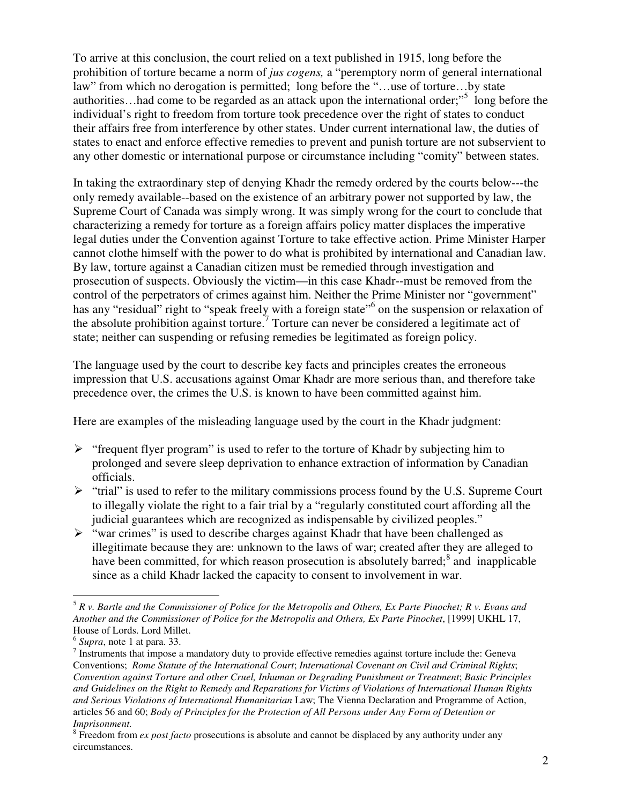To arrive at this conclusion, the court relied on a text published in 1915, long before the prohibition of torture became a norm of *jus cogens,* a "peremptory norm of general international law" from which no derogation is permitted; long before the "…use of torture…by state authorities...had come to be regarded as an attack upon the international order;"<sup>5</sup> long before the individual's right to freedom from torture took precedence over the right of states to conduct their affairs free from interference by other states. Under current international law, the duties of states to enact and enforce effective remedies to prevent and punish torture are not subservient to any other domestic or international purpose or circumstance including "comity" between states.

In taking the extraordinary step of denying Khadr the remedy ordered by the courts below---the only remedy available--based on the existence of an arbitrary power not supported by law, the Supreme Court of Canada was simply wrong. It was simply wrong for the court to conclude that characterizing a remedy for torture as a foreign affairs policy matter displaces the imperative legal duties under the Convention against Torture to take effective action. Prime Minister Harper cannot clothe himself with the power to do what is prohibited by international and Canadian law. By law, torture against a Canadian citizen must be remedied through investigation and prosecution of suspects. Obviously the victim—in this case Khadr--must be removed from the control of the perpetrators of crimes against him. Neither the Prime Minister nor "government" has any "residual" right to "speak freely with a foreign state" on the suspension or relaxation of the absolute prohibition against torture.<sup>7</sup> Torture can never be considered a legitimate act of state; neither can suspending or refusing remedies be legitimated as foreign policy.

The language used by the court to describe key facts and principles creates the erroneous impression that U.S. accusations against Omar Khadr are more serious than, and therefore take precedence over, the crimes the U.S. is known to have been committed against him.

Here are examples of the misleading language used by the court in the Khadr judgment:

- $\triangleright$  "frequent flyer program" is used to refer to the torture of Khadr by subjecting him to prolonged and severe sleep deprivation to enhance extraction of information by Canadian officials.
- $\triangleright$  "trial" is used to refer to the military commissions process found by the U.S. Supreme Court to illegally violate the right to a fair trial by a "regularly constituted court affording all the judicial guarantees which are recognized as indispensable by civilized peoples."
- $\triangleright$  "war crimes" is used to describe charges against Khadr that have been challenged as illegitimate because they are: unknown to the laws of war; created after they are alleged to have been committed, for which reason prosecution is absolutely barred;<sup>8</sup> and inapplicable since as a child Khadr lacked the capacity to consent to involvement in war.

 $\overline{a}$ <sup>5</sup> *R v. Bartle and the Commissioner of Police for the Metropolis and Others, Ex Parte Pinochet; R v. Evans and Another and the Commissioner of Police for the Metropolis and Others, Ex Parte Pinochet*, [1999] UKHL 17, House of Lords. Lord Millet.

<sup>6</sup> *Supra*, note 1 at para. 33.

 $<sup>7</sup>$  Instruments that impose a mandatory duty to provide effective remedies against torture include the: Geneva</sup> Conventions; *Rome Statute of the International Court*; *International Covenant on Civil and Criminal Rights*; *Convention against Torture and other Cruel, Inhuman or Degrading Punishment or Treatment*; *Basic Principles and Guidelines on the Right to Remedy and Reparations for Victims of Violations of International Human Rights and Serious Violations of International Humanitarian* Law; The Vienna Declaration and Programme of Action, articles 56 and 60; *Body of Principles for the Protection of All Persons under Any Form of Detention or Imprisonment.*

<sup>&</sup>lt;sup>8</sup> Freedom from *ex post facto* prosecutions is absolute and cannot be displaced by any authority under any circumstances.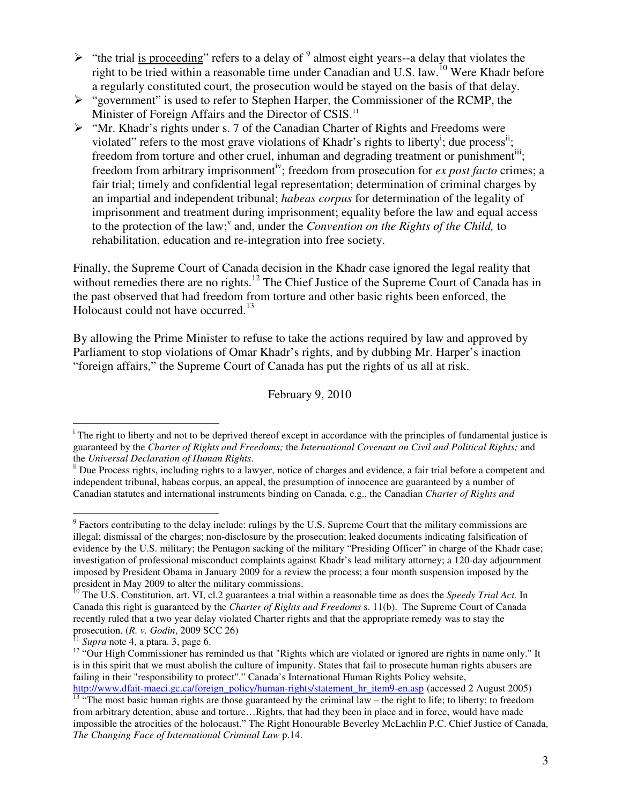- $\triangleright$  "the trial is proceeding" refers to a delay of  $9$  almost eight years--a delay that violates the right to be tried within a reasonable time under Canadian and U.S. law.<sup>10</sup> Were Khadr before a regularly constituted court, the prosecution would be stayed on the basis of that delay.
- $\triangleright$  "government" is used to refer to Stephen Harper, the Commissioner of the RCMP, the Minister of Foreign Affairs and the Director of CSIS.<sup>11</sup>
- "Mr. Khadr's rights under s. 7 of the Canadian Charter of Rights and Freedoms were violated" refers to the most grave violations of Khadr's rights to liberty<sup>i</sup>; due process<sup>ii</sup>; freedom from torture and other cruel, inhuman and degrading treatment or punishment<sup>iii</sup>; freedom from arbitrary imprisonment<sup>iv</sup>; freedom from prosecution for *ex post facto* crimes; a fair trial; timely and confidential legal representation; determination of criminal charges by an impartial and independent tribunal; *habeas corpus* for determination of the legality of imprisonment and treatment during imprisonment; equality before the law and equal access to the protection of the law;<sup>v</sup> and, under the *Convention on the Rights of the Child*, to rehabilitation, education and re-integration into free society.

Finally, the Supreme Court of Canada decision in the Khadr case ignored the legal reality that without remedies there are no rights.<sup>12</sup> The Chief Justice of the Supreme Court of Canada has in the past observed that had freedom from torture and other basic rights been enforced, the Holocaust could not have occurred.<sup>13</sup>

By allowing the Prime Minister to refuse to take the actions required by law and approved by Parliament to stop violations of Omar Khadr's rights, and by dubbing Mr. Harper's inaction "foreign affairs," the Supreme Court of Canada has put the rights of us all at risk.

February 9, 2010

 $\overline{a}$ 

 $\overline{a}$ 

<sup>&</sup>lt;sup>i</sup> The right to liberty and not to be deprived thereof except in accordance with the principles of fundamental justice is guaranteed by the *Charter of Rights and Freedoms;* the *International Covenant on Civil and Political Rights;* and the *Universal Declaration of Human Rights*.

ii Due Process rights, including rights to a lawyer, notice of charges and evidence, a fair trial before a competent and independent tribunal, habeas corpus, an appeal, the presumption of innocence are guaranteed by a number of Canadian statutes and international instruments binding on Canada, e.g., the Canadian *Charter of Rights and* 

 $9$  Factors contributing to the delay include: rulings by the U.S. Supreme Court that the military commissions are illegal; dismissal of the charges; non-disclosure by the prosecution; leaked documents indicating falsification of evidence by the U.S. military; the Pentagon sacking of the military "Presiding Officer" in charge of the Khadr case; investigation of professional misconduct complaints against Khadr's lead military attorney; a 120-day adjournment imposed by President Obama in January 2009 for a review the process; a four month suspension imposed by the president in May 2009 to alter the military commissions.

<sup>10</sup> The U.S. Constitution, art. VI, cl.2 guarantees a trial within a reasonable time as does the *Speedy Trial Act.* In Canada this right is guaranteed by the *Charter of Rights and Freedoms* s. 11(b). The Supreme Court of Canada recently ruled that a two year delay violated Charter rights and that the appropriate remedy was to stay the prosecution. (*R. v. Godin*, 2009 SCC 26)

 $11$  *Supra* note 4, a ptara. 3, page 6.

<sup>&</sup>lt;sup>12</sup> "Our High Commissioner has reminded us that "Rights which are violated or ignored are rights in name only." It is in this spirit that we must abolish the culture of **i**mpunity. States that fail to prosecute human rights abusers are failing in their "responsibility to protect"." Canada's International Human Rights Policy website,

http://www.dfait-maeci.gc.ca/foreign\_policy/human-rights/statement\_hr\_item9-en.asp (accessed 2 August 2005) <sup>13</sup> "The most basic human rights are those guaranteed by the criminal law – the right to life; to liberty; to freedom from arbitrary detention, abuse and torture…Rights, that had they been in place and in force, would have made impossible the atrocities of the holocaust." The Right Honourable Beverley McLachlin P.C. Chief Justice of Canada, *The Changing Face of International Criminal Law* p.14.